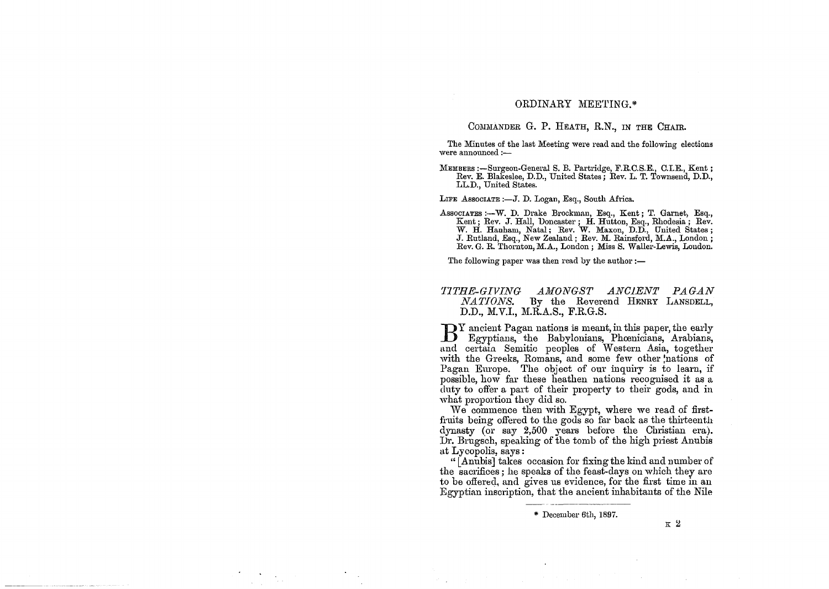# ORDINARY MEE'l'ING.\*

## COMMANDER G. P. HEATH, R.N., IN THE CHAIR.

The Minutes of the last Meeting were read and the following elections were announced  $:$ 

MEMBERS :-Surgeon-General S. B. Partridge, F.R.C.S.E., C.I.E., Kent; Rev. E. Blakeslee, D.D., United States; Rev. L. T. Townsend, D.D., LL.D., United States.

LIFE Associate :- J. D. Logan, Esq., South Africa.

Associatres :--W. D. Drake Brockman, Esq., Kent; T. Garnet, Esq., Kent; Rev. J. Hall, Doncaster; H. Hutton, Esq., Rhodesia; Rev. W. H. Hanham, Natal; Rev. W. Maxon, D.D., United States; J. Rutland, Esq., New Zealand; Rev. M. Rainsford, M.A., London; Rev. G. R. Thornton, M.A., London; Miss S. Waller-Lewis, London.

The following paper was then read by the author  $:$ 

## *'11THE-GIVING AMONGST ANCIENT PAGAN*  By the Reverend HENRY LANSDELL, D.D., M.V.I., M.R.A.S., F.R.G.S.

BY ancient Pagan nations is meant, in this paper, the early Egyptians, the Babylonians, Phoenicians, Arabians, and certain Semitic peoples of Western Asia, together with the Greeks, Romans, and some few other nations of Pagan Europe. The object of our inquiry is to learn, if possible, how far these heathen nations recognised it as a duty to offer a part of their property to their gods, and in what proportion they did so.

We commence then with Egypt, where we read of firstfruits being offered to the gods so far back as the thirteenth dynasty (or say 2,500 years before the Christian era). Dr. Brugsch, speaking of the tomb of the high priest Anubis at Lycopolis, says:

" [Anubis] takes occasion for fixing the kind and number of the sacrifices; he speaks of the feast-days on which they are to be offered, and gives us evidence, for the first time in an Egyptian inscription, that the ancient inhabitants of the Nile

 $\kappa$  2

<sup>\*</sup> December 6th, 1897.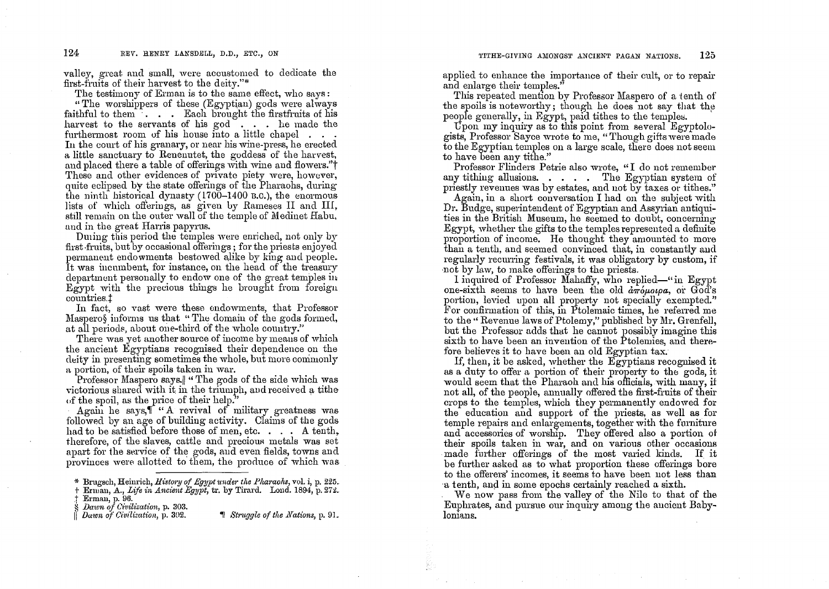valley, great and small, were accustomed to dedicate the first-fruits of their harvest to the deity."\*

The testimony of Erman is to the same effect, who savs:

"The worshippers of these (Egyptian) gods were always faithful to them<sup>1</sup> . . . Each brought the first fruits of his harvest to the servants of his god... he made the furthermost room of his house into a little chapel . . In the court of his granary, or near his wine-press, he erected a little sanctuary to Renematet, the goddess of the harvest, and placed there a table of offerings with wine and flowers."<sup>†</sup> These and other evidences of private piety were, however, quite eclipsed by the state offerings of the Pharaohs, during the ninth historical dynasty  $(1700-1400)$  B.C.), the enormous lists of which offerings, as given by Rameses II and III, still remain on the outer wall of the temple of Medinet Habu, and in the great Harris papyrus.

During this period the temples were enriched, not only by first fruits, but by occasional offerings; for the priests enjoyed permanent endowments bestowed alike by king and people. It was incumbent, for instance, on the head of the treasury department personally to endow one of the great temples in Egypt with the precious things he brought from foreign countries.<sup>†</sup>

In fact, so vast were these endowments, that Professor Masperos informs us that "The domain of the gods formed, at all periods, about one-third of the whole country."

There was yet another source of income by means of which the ancient Egyptians recognised their dependence on the deity in presenting sometimes the whole, but more commonly a portion, of their spoils taken in war.

Professor Maspero says. " The gods of the side which was victorious shared with it in the triumph, and received a tithe of the spoil, as the price of their help.

Again he says, " "A revival of military greatness was followed by an age of building activity. Claims of the gods had to be satisfied before those of men, etc... A tenth, therefore, of the slaves, cattle and precious metals was set apart for the service of the gods, and even fields, towns and provinces were allotted to them, the produce of which was applied to enhance the importance of their cult, or to repair and enlarge their temples."

This repeated mention by Professor Maspero of a tenth of the spoils is noteworthy; though he does not say that the people generally, in Egypt, paid tithes to the temples.

Upon my inquiry as to this point from several Egyptologists, Professor Sayce wrote to me, "Though gifts were made to the Egyptian temples on a large scale, there does not seem to have been any tithe."

Professor Flinders Petrie also wrote, "I do not remember any tithing allusions. . . . . The Egyptian system of priestly revenues was by estates, and not by taxes or tithes."

Again, in a short conversation I had on the subject with Dr. Budge, superintendent of Egyptian and Assyrian antiquities in the British Museum, he seemed to doubt, concerning Egypt, whether the gifts to the temples represented a definite proportion of income. He thought they amounted to more than a tenth, and seemed convinced that, in constantly and regularly recurring festivals, it was obligatory by custom, if not by law, to make offerings to the priests.

I inquired of Professor Mahaffy, who replied—"in Egypt one-sixth seems to have been the old  $d\pi \omega \omega \rho a$ , or God's portion, levied upon all property not specially exempted." For confirmation of this, in Ptolemaic times, he referred me to the "Revenue laws of Ptolemy," published by Mr. Grenfell, but the Professor adds that he cannot possibly imagine this sixth to have been an invention of the Ptolemies, and therefore believes it to have been an old Egyptian tax.

If, then, it be asked, whether the Egyptians recognised it as a duty to offer a portion of their property to the gods, it would seem that the Pharaoh and his officials, with many, if not all, of the people, annually offered the first-fruits of their crops to the temples, which they permanently endowed for the education and support of the priests, as well as for temple repairs and enlargements, together with the furniture and accessories of worship. They offered also a portion of their spoils taken in war, and on various other occasions made further offerings of the most varied kinds. If it be further asked as to what proportion these offerings bore to the offerers' incomes, it seems to have been not less than a tenth, and in some epochs certainly reached a sixth.

We now pass from the valley of the Nile to that of the Euphrates, and pursue our inquiry among the aucient Babylonians.

<sup>\*</sup> Brugsch, Heinrich, History of Egypt under the Pharaohs, vol. i, p. 225.

<sup>†</sup> Erman, A., Life in Ancient Egypt, tr. by Tirard. Lond. 1894, p. 272.

Erman, p. 96.

Dawn of Civilization, p. 303. Dawn of Civilization, p. 302.

 $\P$  Struggle of the Nations, p. 91.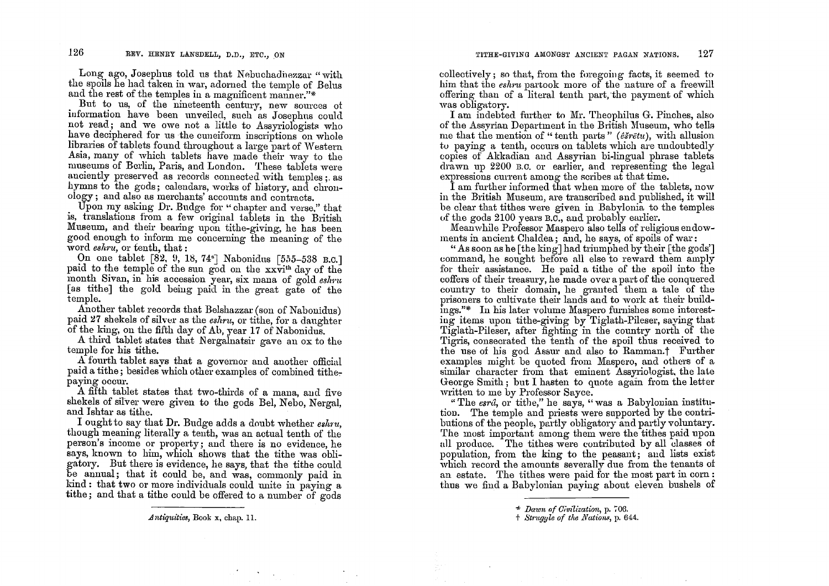Long ago, Josephus told us that Nebuchadiezzar "with the spoils he had taken in war, adorned the temple of Belns and the rest of the temples in a magnificent manner."\*

But to us, of the nineteenth century, new sources of information have been unveiled, such as Josephus could not read; and we owe not a little to Assyriologists who have deciphered for us the cuneiform inscriptions on whole libraries of tablets found throughout a large part of Western Asia, many of which tablets have made their way to the museums of Berlin, Paris, and London. These tabfets were anciently preserved as records connected with temples;. as hymns to the gods; calendars, works of history, and chronology; and also as merchants' accounts and contracts.

Upon my asking Dr. Budge for "chapter and verse," that is, translations from a few original tablets in the British Museum, and their bearing upon tithe-giving, he has been good enough to inform me concerning the meaning of the word eshru, or tenth, that:

On one tablet [82, 9, 18, 74<sup>a</sup>] Nabonidus [555-538 B.C.] paid to the temple of the sun god on the xxvi<sup>th</sup> day of the month Sivan, in his accession year, six mana of gold *eshru* [as tithe] the gold being paid in the great gate of the temple.

Another tablet records that Belshazzar (son of Nabonidus) paid 27 shekels of silver as the *eshru*, or tithe, for a daughter of the king, on the fifth day of Ab, year 17 of Nabonidus.

A third tablet states that Nergalnatsir gave an ox to the temple for his tithe.

A fourth tablet says that a governor and another official paid a tithe; besides which other examples of combined tithepaymg occur.

A fifth tablet states that two-thirds of a mana, and five shekels of silver were given to the gods Bel, Nebo, Nergal, and Ishtar as tithe.

I ought to say that Dr. Budge adds a doubt whether *eslml,*  though meaning literally a tenth, was an actual tenth of the person's income or property; and there is no evidence, he says, known to him, which shows that the tithe was obligatory. But there is evidence, he says, that the tithe coulel be annual; that it could be, and was, commonly paid in  $\mathrm{kind}:$  that two or more individuals could unite in paying a tithe; and that a tithe could be offered to a number of gods

.A *ntiquities,* Book x, chap. 11.

collectively; so that, from the foregoing facts, it seemed to him that the *eshru* partook more of the nature of a freewill offering than of a literal tenth part, the payment of which was obligatory.

I am indebted further to Mr. Theophilus G. Pinches, also of the Assyrian Department in the British Museum, who tells me that the mention of " tenth parts" ( $\ell\tilde{s}r\tilde{e}tu$ ), with allusion tu paying a tenth, occurs on tablets which are undoubtedly copies of Akkadian and Assyrian bi-lingual phrase tablets drawn up 2200 B.O. or earlier, and representing the legal expressions current among the scribes at that time.

I am further informed that when more of the tablets, now in the British Museum, are transcribed and published, it will be clear that tithes were given in Babylonia to the temples of the gods 2100 years B.O., and probably earlier.

Meanwhile Professor Maspero also tells of religious endowments in ancient Chaldea; and, he says, of spoils of war:

" As soon as he  $[the$  king] had triumphed by their  $[the$  gods'] command, he sought before all else to reward them amply for their assistance. He paid a tithe of the spoil into the coffers of their treasury, he made over a part of the conquered country to their domain, he granted them a tale of the prisoners to cultivate their lands and to work at their buildings."\* In his later volume Maspero furnishes some interestiug items upon tithe-giving by Tiglath-Pileser, saying that Tiglath-Pileser, after fighting in the country north of the Tigris, consecrated the tenth of the spoil thus received to the use of his god Assur and also to Ramman.<sup>†</sup> Further examples might be quoted from Maspero, and others of a similar character from that eminent Assyriologist, the late George Smith; but I hasten to quote again from the letter written to me by Professor Sayce.

"The  $\epsilon s r \hat{a}$ , or tithe," he says, "was a Babylonian institution. The temple and priests were supported by the contributions of the people, partly obligatory and partly voluntary. The most important among them were the tithes paid upon all produce. The tithes were contributed by all classes of population, from the king to the peasant; and lists exist which record the amounts severally due from the tenants of an estate. The tithes were paid for the most part in corn: thus we find a Babylonian paying about eleven bushels of

<sup>&</sup>quot;\* *Dawn nf Ci'vilization,* p. ';'06 .

t *St'·1tgyle of the Nation •• ,* p. 644.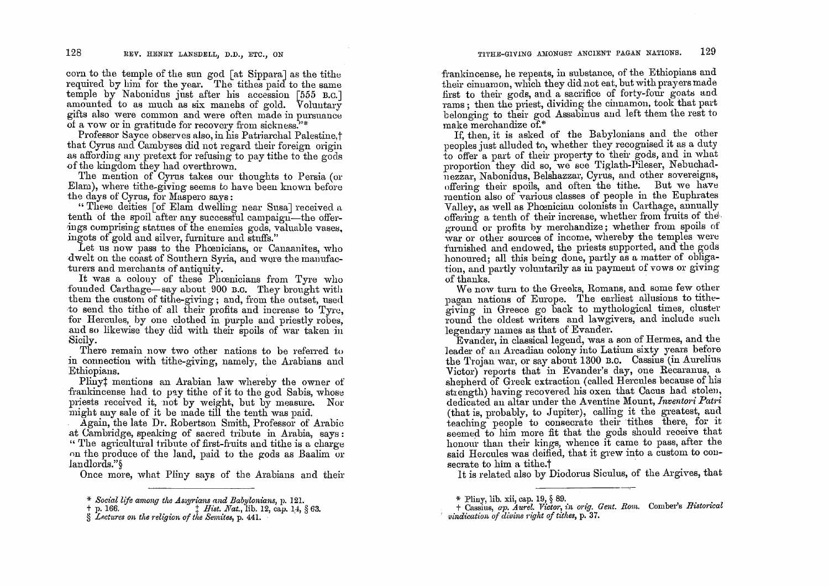corn to the temple of the sun god [at Sippara] as the tithe required by him for the year. The tithes paid to the same temple by Nabonidus just after his accession [555 B.O.] amounted to as much as six manehs of gold. Voluntary gifts also were common and were often made in pursuance of a vow or in gratitude for recovery from sickness."\*

Professor 8ayce observes also, in his Patriarchal Palestine,t that Cyrus and Cambyses did not regard their foreign origin as affordmg any pretext for refusmg to pay tithe to the gods .of the kingdom they had overthrown.

The mention of Cyrus takes our thoughts to Persia (or Elam), where tithe\_giving seems to have been known before the days of Cyrus, for Maspero says:

"These deities [of Elam dwelling near Susa] received a tenth of the spoil after any successful campaign—the offerings cumprising statues of the enemies gods, valuable vases, ingots of gold and silver, furniture and stuffs."

Let us now pass to the Phoenicians, or Canaanites, who dwelt on the coast of Southern Syria, and were the manufacturers and merchants of antiquity.

It was a colony of these Phoenicians from Tyre who founded Carthage-say about 900 B.C. They brought with them the custom of tithe-giving; and, from the outset, used to send the tithe of all their profits and increase to Tyre, for Hercules, by one clothed in purple and priestly robes, and so likewise they did with their spoils of war taken in Sicily.

There remain now two other nations to be referred to in connection with tithe-giving, namely, the Arabians and Ethiopians. .

Plinyt mentions an Arabian law whereby the owner of frankincense had to pay tithe of it to the god Sabis, whose priests received it, not by weight, but by measure. Nor might auy sale of it be made till the tenth was paid.

Again, the late Dr. Robertson Smith, Professor of Arabic at Uambridge, speaking of sacred tribute in Arabia, says: "'1'he agricultural tribute of first-fruits and tithe is a charge on the produce of the land, paid to the gods as Baalim or landlords."§

Once more, what Pliny says of the Arabians and their

frankincense, he repeats, in substance, of the Ethiopians and their cinuamon, which they did not eat, but with prayers made first to their gods, and a sacrifice of forty-four goats and rams; then the priest, dividing the cinnamon, took that part belonging to their god Assabinus and left them the rest to make merchandize of.\*

If, then, it is asked of the Babylonians and the other peoples just alluded to, whether they recognised it as a duty to offer a part of their property to their gods, and in what proportion they did so, we see Tiglath-Pileser, Nebuchadnezzar, Nabonidus, Belshazzar, Cyrus, and other sovereigns, offering their spoils, and often the tithe. But we have mention also of various classes of people in the Euphrates Valley, as well as Phoenician colonists in Carthage, annually offering a tenth of their increase, whether from fruits of the· ground or profits by merchandize; whether from spoils of war or other sources of income, whereby the temples were furnished and endowed, the priests supported, and the gods honoured; all this being done, partly as a matter of obligation, and partly voluntarily as in payment of vows or giving of thanks.

We now turn to the Greeks, Romans, and some few other paaan nations of Europe. The earliest allusions to tithegiving in Greece go back to mythological times, cluster round the oldest writers and lawgivers, and include such legendary names as that of Evander.

Evander, in classical legend, was a son of Bermes, and the leader of an Arcadian colony into Latium sixty years before the Trojan war, or say about 1300 B.C. Cassius (in Aurelius Victor) reports that in Evander's day, one Recaranus, a shepherd of Greek extraction (called Hercules because of his strength) having recovered his oxen that Cacus had stolen, dedicated an altar under the Aventine Mount, *Inventori Patri* (that is, probably, to Jupiter), calling it the greatest, and teaching people to consecrate their tithes there, for it seemed to him more fit that the gods should receive that honour than their kings, whence it came to pass, after the said Hercules was deified, that it grew into a custom to con-

secrate to him a tithe.<sup>†</sup><br>It is related also by Diodorus Siculus, of the Argives, that

<sup>\*</sup> *Sociallije among tlte AS8.YI·ians and Babylonians,* p. 121.

 $t$  *Hist. Nat.*, lib. 12, cap. 14, § 63.

<sup>§</sup> *Lp.ctures on tlte l'eligion of tlte Semitea,* p. 441.

<sup>\*</sup> Pliny, lib. xii, cap. 19, § 89.

t Cassius, *ap. Aurel. Victor, in orig. Gent. Rom.* Comber's *Historical vindication of divine right of tithes, p.* 37.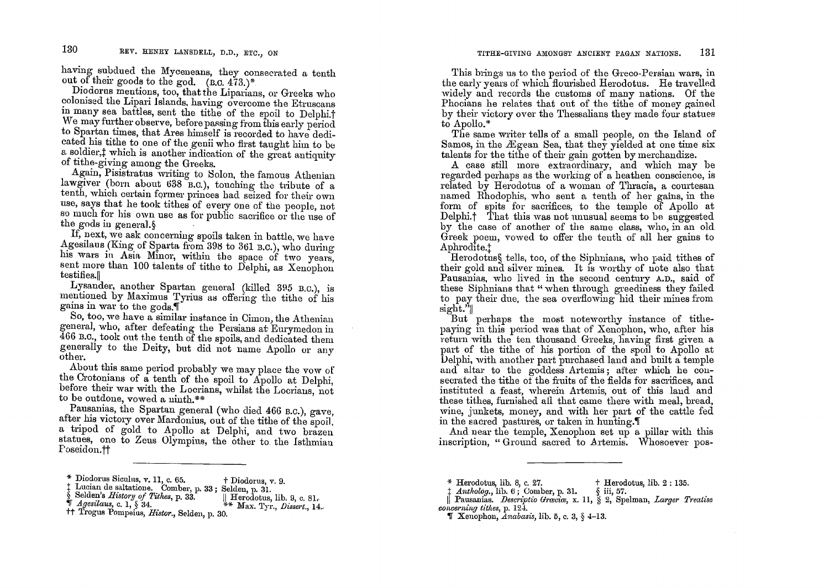having subdued the Myceneans, they consecrated a tenth out of their goods to the god.  $(B.C. 473.)^*$ 

Diodorus mentions, too, that the Liparians, or Greeks who colonised the Lipari Islands, having overcome the Etruscans in many sea battles, sent the tithe of the spoil to Delphi.<sup>†</sup> We may further observe, before passing from this early period to Spartan times, that Ares himself is recorded to have dedicated his tithe to one of the genii who first taught him to be a soldier, t which is another indication of the great antiquity of tithe-giving among the Greeks.

Again, Pisistratus writing to Solon, the famous Athenian lawgiver (born about 638 B.C.), touching the tribute of a tenth, which certain former princes had seized for their own use, says that he took tithes of every one of the people, not so much for his own use as for public sacrifice or the use of the gods in general.

If, next, we ask concerning spoils taken in battle, we have Agesilaus (King of Sparta from 398 to 361 B.C.), who during his wars in Asia Minor, within the space of two years, sent more than 100 talents of tithe to Delphi, as Xenophon testifies.

Lysander, another Spartan general (killed 395 B.C.), is mentioned by Maximus Tyrius as offering the tithe of his gains in war to the gods.

So, too, we have a similar instance in Cimon, the Athenian general, who, after defeating the Persians at Eurymedon in 466 B.C. took out the tenth of the spoils, and dedicated them generally to the Deity, but did not name Apollo or any other.

About this same period probably we may place the vow of the Crotonians of a tenth of the spoil to Apollo at Delphi, before their war with the Locrians, whilst the Locrians, not to be outdone, vowed a ninth.\*\*

Pausanias, the Spartan general (who died 466 B.C.), gave, after his victory over Mardonius, out of the tithe of the spoil, a tripod of gold to Apollo at Delphi, and two brazen statues, one to Zeus Olympius, the other to the Isthmian Foseidon.††

This brings us to the period of the Greco-Persian wars, in the early years of which flourished Herodotus. He travelled widely and records the customs of many nations. Of the Phocians he relates that out of the tithe of money gained by their victory over the Thessalians they made four statues to Apollo.\*

The same writer tells of a small people, on the Island of Samos, in the Ægean Sea, that they yielded at one time six talents for the tithe of their gain gotten by merchandize.

A case still more extraordinary, and which may be regarded perhaps as the working of a heathen conscience, is related by Herodotus of a woman of Thracia, a courtesan named Rhodophis, who sent a tenth of her gains, in the form of spits for sacrifices, to the temple of Apollo at Delphi.<sup>†</sup> That this was not unusual seems to be suggested by the case of another of the same class, who, in an old Greek poem, vowed to offer the tenth of all her gains to Aphrodite.<sup>+</sup>

Herodotus, tells, too, of the Siphnians, who paid tithes of their gold and silver mines. It is worthy of note also that Pausanias, who lived in the second century A.D., said of these Siphnians that "when through greediness they failed to pay their due, the sea overflowing hid their mines from  $\text{sign}$ .'|

But perhaps the most noteworthy instance of tithepaying in this period was that of Xenophon, who, after his return with the ten thousand Greeks, having first given a part of the tithe of his portion of the spoil to Apollo at Delphi, with another part purchased land and built a temple and altar to the goddess Artemis; after which he consecrated the tithe of the fruits of the fields for sacrifices, and instituted a feast, wherein Artemis, out of this land and these tithes, furnished all that came there with meal, bread, wine, junkets, money, and with her part of the cattle fed in the sacred pastures, or taken in hunting.

And near the temple, Xenophon set up a pillar with this inscription, "Ground sacred to Artemis. Whosoever pos-

<sup>†</sup> Herodotus, lib. 2 : 135.

**T** Xenophon, Anabasis, lib. 5, c. 3,  $\&$  4-13.

<sup>\*</sup> Diodorus Siculus, v. 11, c. 65. † Diodorus, v. 9.

Lucian de saltatione. Comber, p. 33; Selden, p. 31.

Selden's History of Tithes, p. 33.  $\parallel$  Herodotus, lib. 9, c. 81.

 $\parallel$  Agesilaus, c. 1, § 34. \*\* Max. Tyr., *Dissert.*, 14.

<sup>&</sup>lt;sup>††</sup> Trogus Pompeius, Histor., Selden, p. 30.

 $*$  Herodotus, lib. 8, c. 27.

 $\downarrow$  Antholog., lib. 6; Comber, p. 31. § iii, 57.

Pausanias. Descriptio Graciae, x. 11, § 2, Spelman, Larger Treatise concerning tithes,  $p. 12\overline{4}$ .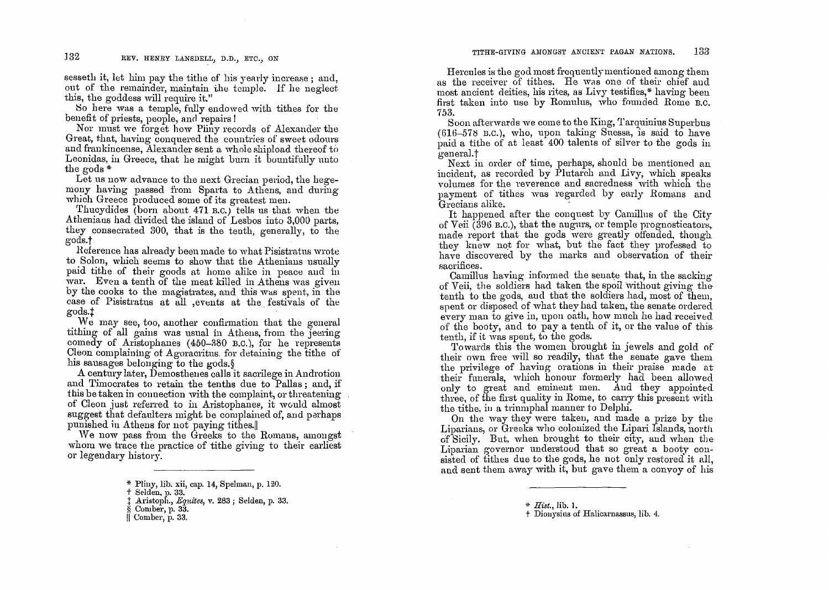sesseth it, let him pay the tithe of his yearly increase; and, out of the remainder, maintain the temple. If he neglect this, the goddess will require it."

So here was a temple, fully endowed with tithes for the benefit of priests, people, and repairs!

Nor must we forget how Pliny records of Alexander the Great, that, having conquered the countries of sweet odours and frankincense, Alexander sent a whole shipload thereof to Leonidas, in Greece, that he might burn it bountifully unto the gods \*

Let us now advance to the next Grecian period, the hegemony having passed from Sparta to Athens, and during which Greece produced some of its greatest men.

Thucydides (born about 471 B.C.) tells us that when the Atheniaus had divided the island of Lesbos into 3,000 parts, they consecrated 300, that is the tenth, generally, to the gods.t

Heference has already been made to what Pisistratus wrote to Solon, which seems to show that the Athenians usually paid tithe of their goods at home alike in peace and in war. Even a tenth of the meat killed in Athens was given by the cooks to the magistrates, and this was spent, in the case of Pisistratus at all ,events at the festivals of the gods.t

We may see, too, another confirmation that the general tithing of all gains was usual in Athens, from. the jeering comedy of Aristophanes  $(450-380)$  B.C.), for he represents Cleon complaining of Agoracritus. for detaining the tithe of his sausages belonging' to the gods.§

A century later, Demostheues calls it sacrilege in Androtion and Timocrates to retain the tenths due to Pallas; and, if this be taken in connection with the complaint, or threatening of Cleon just referred to in Aristophanes, it would almost suggest that defaulters might be complained of, and parhaps punished in Athens for not paying tithes.

We now pass from the Greeks to the Romans, amongst whom we trace the practice of tithe giving to their earliest or legendary history.

Hercules is the god most frequently mentioned among them as the receiver of tithes. He was one of their chief and most ancient deities, his rites, as Livy testifies,\* having been first taken into use by Romulus, who fouuded Rome B.C. 753.

Soon afterwards we come to the King, 'l'arquinius Superbus (616-578 B.C.), who, upon taking Suessa, is said to have paid a tithe of at least  $400$  talents of silver to the gods in general.t

Next in order of time, perhaps, should be mentioned an incident, as recorded by Plutarch and Livy, which speaks volumes for the reverence and sacredness with which the payment of tithes was regarded by early Romans and Grecians alike. .

It happened after the conquest by Camillus of the City of Veii  $(396 B.C.)$ , that the augurs, or temple prognosticators, made report that the gods were greatly offended, though they knew not for what, but the fact they professed to have discovered by the marks and observation of their sacrifices.

Camillus having informed the senate that, in the sacking' of Veii, the soldiers had taken the spoil without giving the tenth to the gods, and that the soldiers had, most of them, spent or disposed of what they had taken, the senate orderecl every man to give in, upon oath, how much he had received. every man to give in, upon bash, now match he had received<br>of the booty, and to pay a tenth of it, or the value of this<br>tenth, if it was spent, to the gods.<br>Towards this the women brought in jewels and gold of

their own free will so readily, that the senate gave them the privilege of having orations in their praise made at their funerals, which honour formerly had been allowed only to great and eminent men. And they appointed three, of the first quality in Rome, to carry this present with the tithe, in a triumphal manner to Delphi.

On the way they were taken, and made a prize by the Liparians, or Greeks who colonized the Lipari Islands, north of Sicilv. But, when broug'ht to then' CIty, and when the Liparian governor understood that so great a booty consisted of tithes due to the gods, he not only restored it all, and sent them away with *it*, but gave them a convoy of his

<sup>\*</sup> Pliny, lib. xii, cap. 14, Spelman, p. 120.

t Selden. p. 33.

<sup>&</sup>lt;sup> $\ddag$ </sup> Aristoph., *Equites*, v. 283 ; Selden, p. 33. § Comber, p. 33.

<sup>11</sup>Comber, p. 33.

<sup>\*</sup> *Hist.,* lib. **1.** 

t Diollysius of Halicarnassus, lib. 4.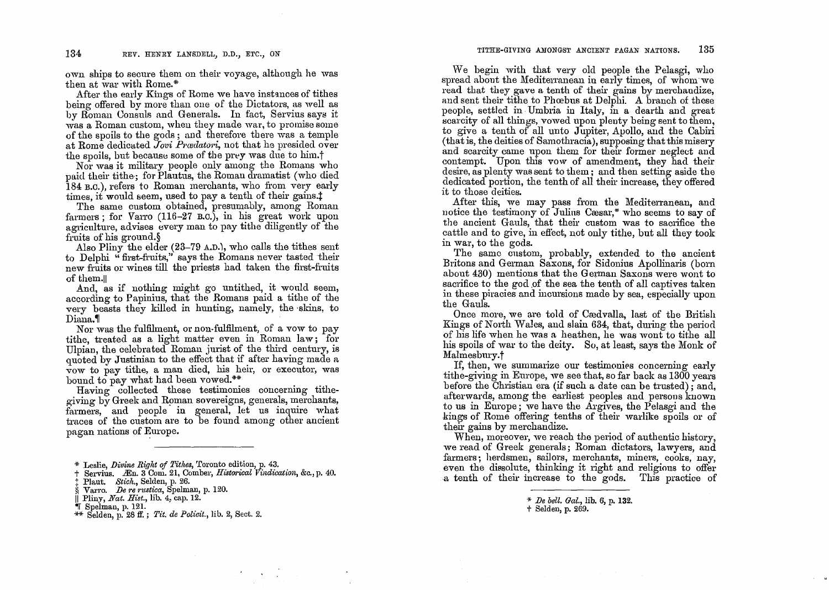own ships to secure them on their voyage, although he was then at war with Rome.\*

After the early Kings of Rome we have instances of tithes being offered by more than one of the Dictators, as well as by Roman Consuls and Generals. In fact, Servius says it was a Roman custom, when they made war, to promise some of the spoils to the gods; and therefore there was a temple at Rome dedicated Jovi Prædatori, not that he presided over the spoils, but because some of the prey was due to him.<sup>†</sup>

Nor was it military people only among the Romans who paid their tithe; for Plautus, the Roman dramatist (who died 184 B.C.), refers to Roman merchants, who from very early times, it would seem, used to pay a tenth of their gains.

The same custom obtained, presumably, among Roman farmers : for Varro  $(116-27 \text{ B.C.})$ , in his great work upon agriculture, advises every man to pay titlie diligently of the fruits of his ground.

Also Pliny the elder  $(23-79 \text{ A.D.})$ , who calls the tithes sent to Delphi "first-fruits," says the Romans never tasted their new fruits or wines till the priests had taken the first-fruits of them.

And, as if nothing might go untithed, it would seem, according to Papinius, that the Romans paid a tithe of the very beasts they killed in hunting, namely, the skins, to Diana.

Nor was the fulfilment, or non-fulfilment, of a vow to pay tithe, treated as a light matter even in Roman law; for Ulpian, the celebrated Roman jurist of the third century, is quoted by Justinian to the effect that if after having made a vow to pay tithe, a man died, his heir, or executor, was bound to pay what had been vowed.\*\*

Having collected these testimonies concerning tithegiving by Greek and Roman sovereigns, generals, merchants, farmers, and people in general, let us inquire what traces of the custom are to be found among other ancient pagan nations of Europe.

Servius. Æn. 3 Com. 21, Comber, Historical Vindication, &c., p. 40.

 $\Delta \sim 10^7$ 

Plaut. Stich., Selden, p. 26.

Varro. De re rustica, Spelman, p. 120.

" Spelman, p. 121.

We begin with that very old people the Pelasgi, who spread about the Mediterranean in early times, of whom we read that they gave a tenth of their gains by merchandize. and sent their tithe to Phoebus at Delphi. A branch of these people, settled in Umbria in Italy, in a dearth and great scarcity of all things, vowed upon plenty being sent to them. to give a tenth of all unto Jupiter, Apollo, and the Cabiri (that is, the deities of Samothracia), supposing that this misery and scarcity came upon them for their former neglect and contempt. Upon this yow of amendment, they had their desire, as plenty was sent to them; and then setting aside the dedicated portion, the tenth of all their increase, they offered it to those deities.

After this, we may pass from the Mediterranean, and notice the testimony of Julius Casar,\* who seems to say of the ancient Gauls, that their custom was to sacrifice the cattle and to give, in effect, not only tithe, but all they took in war, to the gods.

The same custom, probably, extended to the ancient Britons and German Saxons, for Sidonius Apollinaris (born about 430) mentions that the German Saxons were wont to sacrifice to the god of the sea the tenth of all captives taken in these piracies and incursions made by sea, especially upon the Gauls.

Once more, we are told of Cædvalla, last of the British Kings of North Wales, and slain 634, that, during the period of his life when he was a heathen, he was wont to tithe all his spoils of war to the deity. So, at least, says the Monk of Malmesbury.<sup>†</sup>

If, then, we summarize our testimonies concerning early tithe-giving in Europe, we see that, so far back as 1300 years before the Christian era (if such a date can be trusted); and, afterwards, among the earliest peoples and persons known to us in Europe; we have the Argives, the Pelasgi and the kings of Rome offering tenths of their warlike spoils or of their gains by merchandize.

When, moreover, we reach the period of authentic history. we read of Greek generals; Roman dictators, lawyers, and farmers; herdsmen, sailors, merchants, miners, cooks, nay, even the dissolute, thinking it right and religious to offer a tenth of their increase to the gods. This practice of

<sup>\*</sup> Leslie, Divine Right of Tithes, Toronto edition, p. 43.

<sup>||</sup> Pliny, Nat. Hist., lib. 4, cap. 12.

<sup>\*\*</sup> Selden, p. 28 ff.; Tit. de Policit., lib. 2, Sect. 2.

<sup>\*</sup> De bell. Gal., lib. 6, p. 132.

<sup>+</sup> Selden, p. 269.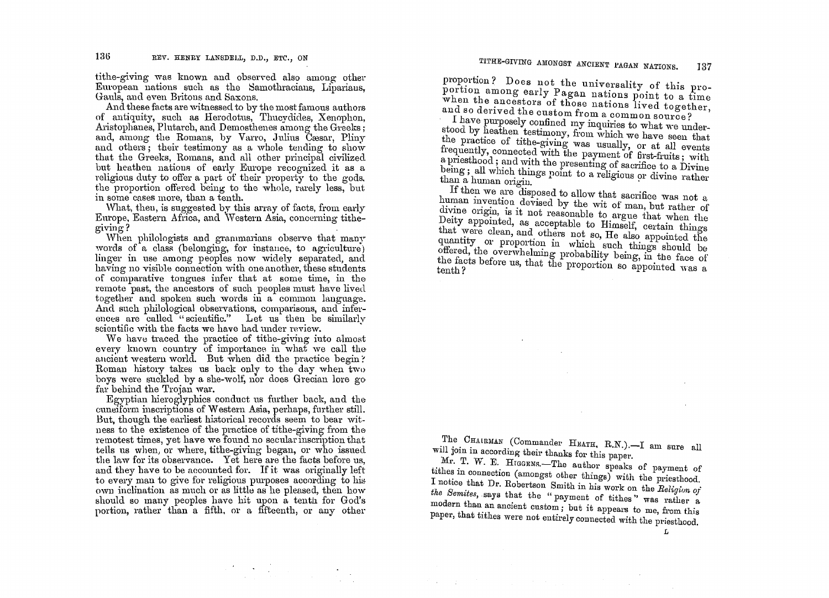tithe-giving was known and observed also among other European nations such as the Samothracians, Liparians, Gauls, and even Britons and Saxons.

And these facts are witnessed to by the most famous authors of antiquity, such as Herodotus, Thucydides, Xenophon, Aristophanes, Plutarch, and Demosthenes among the Greeks; and, among the Romans, by Varro, Julius Caesar, Pliny and others; their testimony as a whole tending to show that the Greeks, Romans, and all other principal civilized but heathen nations of early Europe recognized it as a religious duty to offer a part of their property to the gods, the proportion offered being to the whole, rarely less, but in some cases more, than a tenth.

What, then, is suggested by this array of facts, from early Europe, Eastern Africa. and Western Asia, concerning tithegiving?

When philologists and grammarians observe that many words of a class (belonging, for instance, to agriculture) linger in use among peoples now widely separated, and having no visible connection with one another, these students of comparative tongues infer that at some time, in the remote past, the ancestors of such peoples must have lived together and spoken such words in a common language. And such philological observations, comparisons, and inferences are called "scientific." Let us then be similarly scientific with the facts we have had under review.

We have traced the practice of tithe-giving into almost every known country of importance in what we call the ancient western world. But when did the practice begin? Roman history takes us back only to the day when two boys were suckled by a she-wolf, nor does Grecian lore go far behind the Trojan war.

Egyptian hieroglyphics conduct us further back, and the cuneiform inscriptions of Western Asia, perhaps, further still. But, though the earliest historical records seem to bear witness to the existence of the practice of tithe-giving from the remotest times, yet have we found no secular inscription that tells us when, or where, tithe-giving began, or who issued the law for its observance. Yet here are the facts before us, and they have to be accounted for. If it was originally left to every man to give for religious purposes according to his own inclination as much or as little as he pleased, then how should so many peoples have hit upon a tenth for God's portion, rather than a fifth, or a fifteenth, or any other

proportion? Does not the universality of this proportion among early Pagan nations point to a time when the ancestors of those nations lived together, and so derived the custom from a common source?

I have purposely confined my inquiries to what we understood by heathen testimony, from which we have seen that the practice of tithe-giving was usually, or at all events frequently, connected with the payment of first-fruits; with a priesthood; and with the presenting of sacrifice to a Divine being; all which things point to a religious or divine rather than a human origin.

If then we are disposed to allow that sacrifice was not a human invention devised by the wit of man, but rather of divine origin, is it not reasonable to argue that when the Deity appointed, as acceptable to Himself, certain things that were clean, and others not so, He also appointed the quantity or proportion in which such things should be offered, the overwhelming probability being, in the face of the facts before us, that the proportion so appointed was a tenth?

The CHAIRMAN (Commander HEATH, R.N.).-I am sure all will join in according their thanks for this paper.

Mr. T. W. E. HIGGENS.-The author speaks of payment of tithes in connection (amongst other things) with the priesthood. I notice that Dr. Robertson Smith in his work on the Religion of the Semites, says that the "payment of tithes" was rather a modern than an ancient custom; but it appears to me, from this paper, that tithes were not entirely connected with the priesthood.

 $\mathbf{L}$